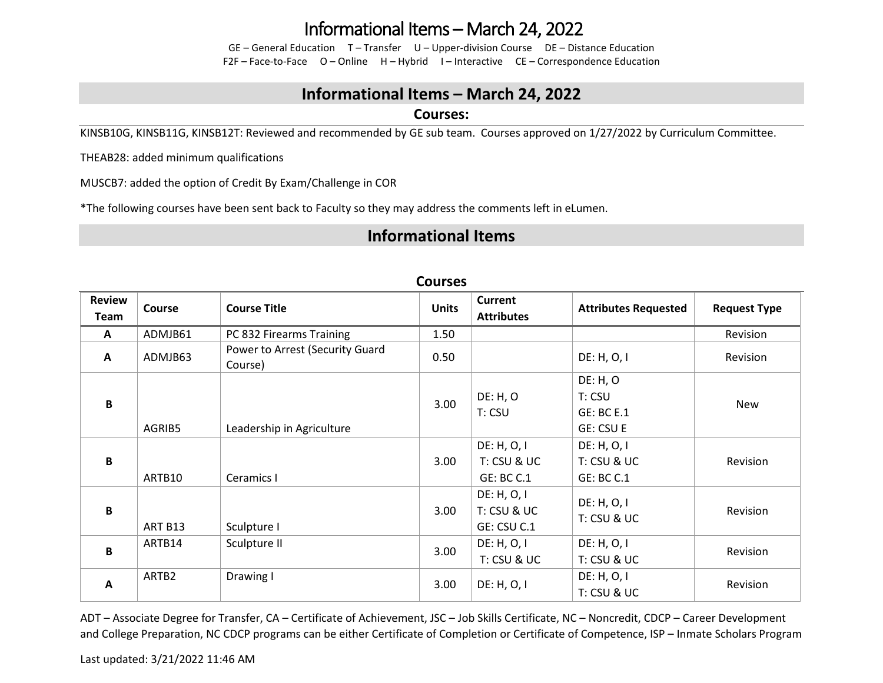## Informational Items – March 24, 2022

GE – General Education T – Transfer U – Upper-division Course DE – Distance Education F2F – Face-to-Face O – Online H – Hybrid I – Interactive CE – Correspondence Education

### **Informational Items – March 24, 2022**

#### **Courses:**

KINSB10G, KINSB11G, KINSB12T: Reviewed and recommended by GE sub team. Courses approved on 1/27/2022 by Curriculum Committee.

THEAB28: added minimum qualifications

MUSCB7: added the option of Credit By Exam/Challenge in COR

\*The following courses have been sent back to Faculty so they may address the comments left in eLumen.

### **Informational Items**

| <b>Review</b><br>Team | <b>Course</b>      | <b>Course Title</b>                        | <b>Units</b> | <b>Current</b><br><b>Attributes</b> | <b>Attributes Requested</b> | <b>Request Type</b> |
|-----------------------|--------------------|--------------------------------------------|--------------|-------------------------------------|-----------------------------|---------------------|
| $\mathbf{A}$          | ADMJB61            | PC 832 Firearms Training                   | 1.50         |                                     |                             | Revision            |
| $\mathbf{A}$          | ADMJB63            | Power to Arrest (Security Guard<br>Course) | 0.50         |                                     | DE: H, O, I                 | Revision            |
|                       |                    |                                            |              |                                     | DE: H, O                    |                     |
| B                     |                    |                                            | 3.00         | DE: H, O                            | T: CSU                      | New                 |
|                       |                    |                                            |              | T: CSU                              | <b>GE: BC E.1</b>           |                     |
|                       | AGRIB5             | Leadership in Agriculture                  |              |                                     | <b>GE: CSU E</b>            |                     |
|                       |                    |                                            |              | DE: H, O, I                         | DE: H, O, I                 |                     |
| B                     |                    |                                            | 3.00         | T: CSU & UC                         | T: CSU & UC                 | Revision            |
|                       | ARTB10             | Ceramics I                                 |              | GE: BC C.1                          | <b>GE: BC C.1</b>           |                     |
|                       |                    |                                            |              | DE: H, O, I                         |                             |                     |
| $\mathbf{B}$          |                    |                                            | 3.00         | T: CSU & UC                         | DE: H, O, I                 | Revision            |
|                       | ART B13            | Sculpture I                                |              | GE: CSU C.1                         | T: CSU & UC                 |                     |
|                       | ARTB14             | Sculpture II                               | 3.00         | DE: H, O, I                         | DE: H, O, I                 | Revision            |
| $\mathbf{B}$          |                    |                                            |              | T: CSU & UC                         | T: CSU & UC                 |                     |
|                       | ARTB2<br>Drawing I |                                            |              | DE: H, O, I                         |                             |                     |
| A                     |                    |                                            | 3.00         | DE: H, O, I                         | T: CSU & UC                 | Revision            |

#### **Courses**

ADT – Associate Degree for Transfer, CA – Certificate of Achievement, JSC – Job Skills Certificate, NC – Noncredit, CDCP – Career Development and College Preparation, NC CDCP programs can be either Certificate of Completion or Certificate of Competence, ISP – Inmate Scholars Program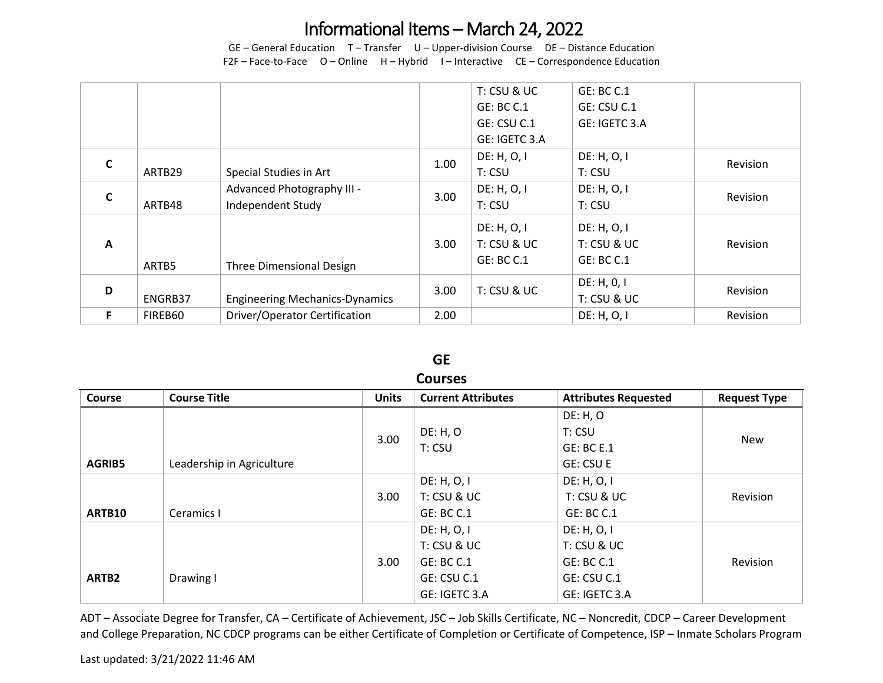## Informational Items – March 24, 2022

GE – General Education T – Transfer U – Upper-division Course DE – Distance Education F2F – Face-to-Face O – Online H – Hybrid I – Interactive CE – Correspondence Education

|              |         |                                       |      | T: CSU & UC                | GE: BC C.1    |          |
|--------------|---------|---------------------------------------|------|----------------------------|---------------|----------|
|              |         |                                       |      | <b>GE: BC C.1</b>          | GE: CSU C.1   |          |
|              |         |                                       |      | GE: CSU C.1                | GE: IGETC 3.A |          |
|              |         |                                       |      | GE: IGETC 3.A              |               |          |
| $\mathsf{C}$ |         |                                       | 1.00 | DE: H, O, I<br>DE: H, O, I |               |          |
|              | ARTB29  | Special Studies in Art                |      | T: CSU                     | T: CSU        | Revision |
| $\mathsf{C}$ |         | Advanced Photography III -            | 3.00 | DE: H, O, I                | DE: H, O, I   |          |
|              | ARTB48  | Independent Study                     |      | T: CSU                     | T: CSU        | Revision |
|              |         |                                       |      | DE: H, O, I                | DE: H, O, I   |          |
| A            |         |                                       | 3.00 | T: CSU & UC                | T: CSU & UC   | Revision |
|              |         |                                       |      | <b>GE: BC C.1</b>          | GE: BC C.1    |          |
|              | ARTB5   | <b>Three Dimensional Design</b>       |      |                            |               |          |
| D            |         |                                       |      | T: CSU & UC<br>3.00        | DE: H, 0, I   | Revision |
|              | ENGRB37 | <b>Engineering Mechanics-Dynamics</b> |      |                            | T: CSU & UC   |          |
| F            | FIREB60 | <b>Driver/Operator Certification</b>  | 2.00 |                            | DE: H, O, I   | Revision |

#### **GE Courses**

| CUUI SES          |                           |              |                           |                             |                     |  |
|-------------------|---------------------------|--------------|---------------------------|-----------------------------|---------------------|--|
| <b>Course</b>     | <b>Course Title</b>       | <b>Units</b> | <b>Current Attributes</b> | <b>Attributes Requested</b> | <b>Request Type</b> |  |
|                   |                           |              |                           | DE: H, O                    |                     |  |
|                   |                           | 3.00         | DE: H, O                  | T: CSU                      | New                 |  |
|                   |                           |              | T: CSU                    | <b>GE: BC E.1</b>           |                     |  |
| <b>AGRIB5</b>     | Leadership in Agriculture |              |                           | <b>GE: CSU E</b>            |                     |  |
|                   |                           |              | DE: H, O, I               | DE: H, O, I                 |                     |  |
|                   |                           | 3.00         | T: CSU & UC               | T: CSU & UC                 | Revision            |  |
| ARTB10            | Ceramics I                |              | <b>GE: BC C.1</b>         | GE: BC C.1                  |                     |  |
|                   |                           |              | DE: H, O, I               | DE: H, O, I                 |                     |  |
|                   |                           |              | T: CSU & UC               | T: CSU & UC                 |                     |  |
|                   |                           | 3.00         | <b>GE: BC C.1</b>         | GE: BC C.1                  | Revision            |  |
| ARTB <sub>2</sub> | Drawing I                 |              | GE: CSU C.1               | GE: CSU C.1                 |                     |  |
|                   |                           |              | GE: IGETC 3.A             | GE: IGETC 3.A               |                     |  |

ADT – Associate Degree for Transfer, CA – Certificate of Achievement, JSC – Job Skills Certificate, NC – Noncredit, CDCP – Career Development and College Preparation, NC CDCP programs can be either Certificate of Completion or Certificate of Competence, ISP – Inmate Scholars Program